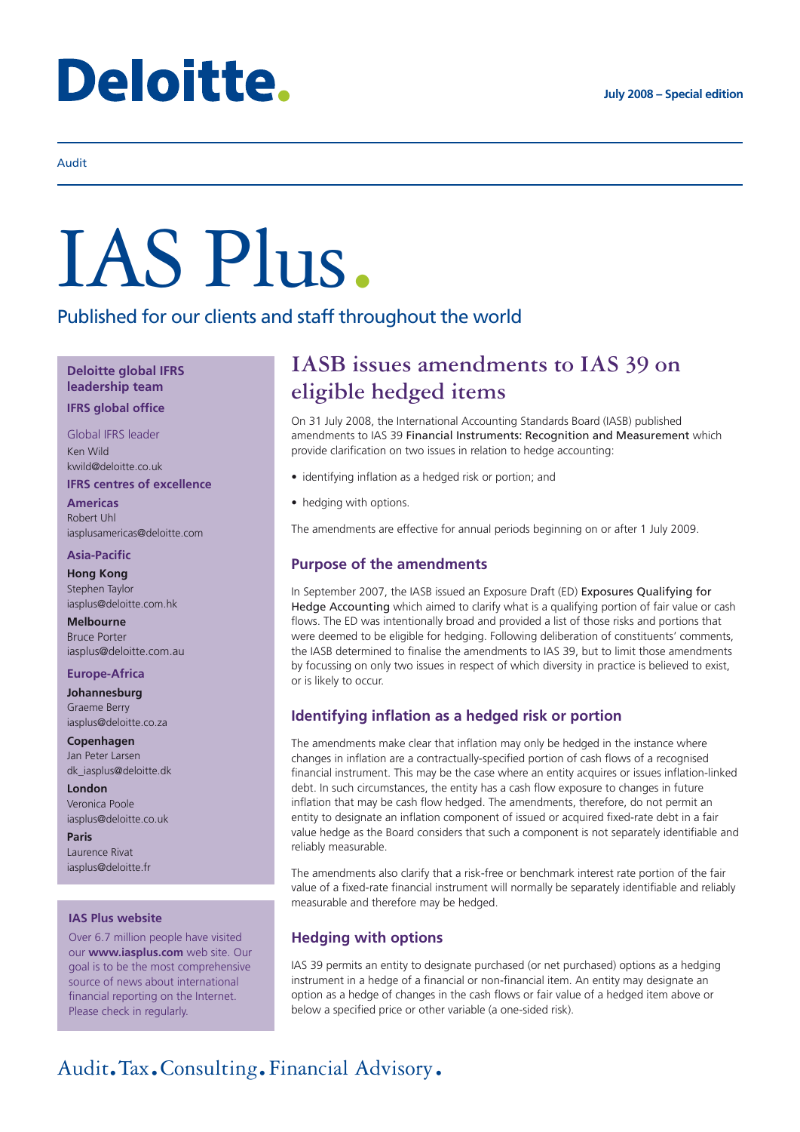# Deloitte.

#### Audit

# IAS Plus.

Published for our clients and staff throughout the world

#### **Deloitte global IFRS leadership team**

#### **IFRS global office**

Global IFRS leader Ken Wild

kwild@deloitte.co.uk

#### **IFRS centres of excellence**

**Americas** Robert Uhl iasplusamericas@deloitte.com

#### **Asia-Pacific**

**Hong Kong** Stephen Taylor iasplus@deloitte.com.hk

**Melbourne** Bruce Porter iasplus@deloitte.com.au

#### **Europe-Africa**

**Johannesburg** Graeme Berry iasplus@deloitte.co.za

**Copenhagen** Jan Peter Larsen dk\_iasplus@deloitte.dk

**London** Veronica Poole iasplus@deloitte.co.uk

**Paris** Laurence Rivat iasplus@deloitte.fr

#### **IAS Plus website**

Over 6.7 million people have visited our **www.iasplus.com** web site. Our goal is to be the most comprehensive source of news about international financial reporting on the Internet. Please check in regularly.

### **IASB issues amendments to IAS 39 on eligible hedged items**

On 31 July 2008, the International Accounting Standards Board (IASB) published amendments to IAS 39 Financial Instruments: Recognition and Measurement which provide clarification on two issues in relation to hedge accounting:

- identifying inflation as a hedged risk or portion; and
- hedging with options.

The amendments are effective for annual periods beginning on or after 1 July 2009.

#### **Purpose of the amendments**

In September 2007, the IASB issued an Exposure Draft (ED) Exposures Qualifying for Hedge Accounting which aimed to clarify what is a qualifying portion of fair value or cash flows. The ED was intentionally broad and provided a list of those risks and portions that were deemed to be eligible for hedging. Following deliberation of constituents' comments, the IASB determined to finalise the amendments to IAS 39, but to limit those amendments by focussing on only two issues in respect of which diversity in practice is believed to exist, or is likely to occur.

#### **Identifying inflation as a hedged risk or portion**

The amendments make clear that inflation may only be hedged in the instance where changes in inflation are a contractually-specified portion of cash flows of a recognised financial instrument. This may be the case where an entity acquires or issues inflation-linked debt. In such circumstances, the entity has a cash flow exposure to changes in future inflation that may be cash flow hedged. The amendments, therefore, do not permit an entity to designate an inflation component of issued or acquired fixed-rate debt in a fair value hedge as the Board considers that such a component is not separately identifiable and reliably measurable.

The amendments also clarify that a risk-free or benchmark interest rate portion of the fair value of a fixed-rate financial instrument will normally be separately identifiable and reliably measurable and therefore may be hedged.

#### **Hedging with options**

IAS 39 permits an entity to designate purchased (or net purchased) options as a hedging instrument in a hedge of a financial or non-financial item. An entity may designate an option as a hedge of changes in the cash flows or fair value of a hedged item above or below a specified price or other variable (a one-sided risk).

## Audit.Tax.Consulting.Financial Advisory.